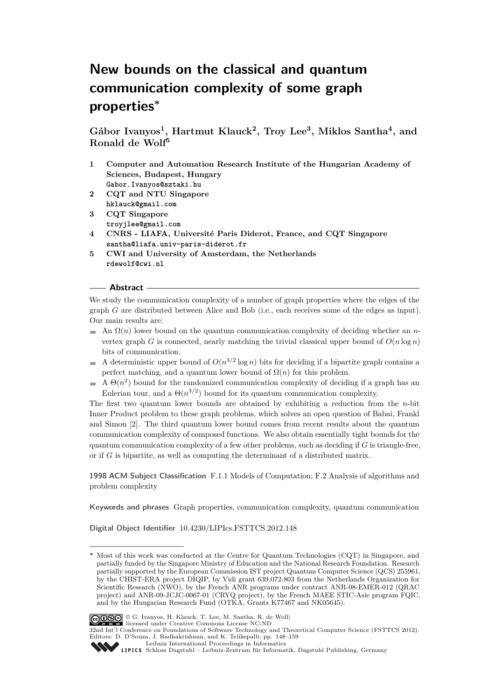# **New bounds on the classical and quantum communication complexity of some graph properties<sup>∗</sup>**

**Gábor Ivanyos<sup>1</sup> , Hartmut Klauck<sup>2</sup> , Troy Lee<sup>3</sup> , Miklos Santha<sup>4</sup> , and Ronald de Wolf<sup>5</sup>**

- **1 Computer and Automation Research Institute of the Hungarian Academy of Sciences, Budapest, Hungary Gabor.Ivanyos@sztaki.hu**
- **2 CQT and NTU Singapore hklauck@gmail.com**
- **3 CQT Singapore troyjlee@gmail.com**
- **4 CNRS LIAFA, Université Paris Diderot, France, and CQT Singapore santha@liafa.univ-paris-diderot.fr**
- **5 CWI and University of Amsterdam, the Netherlands rdewolf@cwi.nl**

### **Abstract**

We study the communication complexity of a number of graph properties where the edges of the graph *G* are distributed between Alice and Bob (i.e., each receives some of the edges as input). Our main results are:

- An  $\Omega(n)$  lower bound on the quantum communication complexity of deciding whether an *n*vertex graph *G* is connected, nearly matching the trivial classical upper bound of  $O(n \log n)$ bits of communication.
- A deterministic upper bound of  $O(n^{3/2} \log n)$  bits for deciding if a bipartite graph contains a  $\sim$ perfect matching, and a quantum lower bound of  $\Omega(n)$  for this problem.
- A  $\Theta(n^2)$  bound for the randomized communication complexity of deciding if a graph has an  $\blacksquare$ Eulerian tour, and a  $\Theta(n^{3/2})$  bound for its quantum communication complexity.

The first two quantum lower bounds are obtained by exhibiting a reduction from the *n*-bit Inner Product problem to these graph problems, which solves an open question of Babai, Frankl and Simon [\[2\]](#page-10-0). The third quantum lower bound comes from recent results about the quantum communication complexity of composed functions. We also obtain essentially tight bounds for the quantum communication complexity of a few other problems, such as deciding if *G* is triangle-free, or if *G* is bipartite, as well as computing the determinant of a distributed matrix.

**1998 ACM Subject Classification** F.1.1 Models of Computation; F.2 Analysis of algorithms and problem complexity

**Keywords and phrases** Graph properties, communication complexity, quantum communication

**Digital Object Identifier** [10.4230/LIPIcs.FSTTCS.2012.148](http://dx.doi.org/10.4230/LIPIcs.FSTTCS.2012.148)

**<sup>∗</sup>** Most of this work was conducted at the Centre for Quantum Technologies (CQT) in Singapore, and partially funded by the Singapore Ministry of Education and the National Research Foundation. Research partially supported by the European Commission IST project Quantum Computer Science (QCS) 255961, by the CHIST-ERA project DIQIP, by Vidi grant 639.072.803 from the Netherlands Organization for Scientific Research (NWO), by the French ANR programs under contract ANR-08-EMER-012 (QRAC project) and ANR-09-JCJC-0067-01 (CRYQ project), by the French MAEE STIC-Asie program FQIC, and by the Hungarian Research Fund (OTKA, Grants K77467 and NK05645).



32nd Int'l Conference on Foundations of Software Technology and Theoretical Computer Science (FSTTCS 2012). Editors: D. D'Souza, J. Radhakrishnan, and K. Telikepalli; pp. 148[–159](#page-11-0) [Leibniz International Proceedings in Informatics](http://www.dagstuhl.de/lipics/)



[Schloss Dagstuhl – Leibniz-Zentrum für Informatik, Dagstuhl Publishing, Germany](http://www.dagstuhl.de)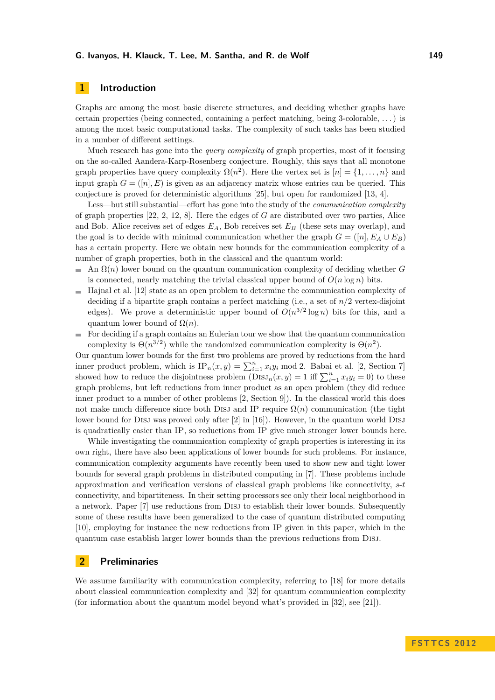# **1 Introduction**

Graphs are among the most basic discrete structures, and deciding whether graphs have certain properties (being connected, containing a perfect matching, being 3-colorable, . . . ) is among the most basic computational tasks. The complexity of such tasks has been studied in a number of different settings.

Much research has gone into the *query complexity* of graph properties, most of it focusing on the so-called Aandera-Karp-Rosenberg conjecture. Roughly, this says that all monotone graph properties have query complexity  $\Omega(n^2)$ . Here the vertex set is  $[n] = \{1, \ldots, n\}$  and input graph  $G = ([n], E)$  is given as an adjacency matrix whose entries can be queried. This conjecture is proved for deterministic algorithms [\[25\]](#page-11-1), but open for randomized [\[13,](#page-11-2) [4\]](#page-10-1).

Less—but still substantial—effort has gone into the study of the *communication complexity* of graph properties [\[22,](#page-11-3) [2,](#page-10-0) [12,](#page-11-4) [8\]](#page-11-5). Here the edges of *G* are distributed over two parties, Alice and Bob. Alice receives set of edges *EA*, Bob receives set *E<sup>B</sup>* (these sets may overlap), and the goal is to decide with minimal communication whether the graph  $G = ([n], E_A \cup E_B)$ has a certain property. Here we obtain new bounds for the communication complexity of a number of graph properties, both in the classical and the quantum world:

- An Ω(*n*) lower bound on the quantum communication complexity of deciding whether *G* is connected, nearly matching the trivial classical upper bound of  $O(n \log n)$  bits.
- Hajnal et al. [\[12\]](#page-11-4) state as an open problem to determine the communication complexity of  $\mathbf{r}$ deciding if a bipartite graph contains a perfect matching (i.e., a set of  $n/2$  vertex-disjoint edges). We prove a deterministic upper bound of  $O(n^{3/2} \log n)$  bits for this, and a quantum lower bound of  $\Omega(n)$ .
- For deciding if a graph contains an Eulerian tour we show that the quantum communication  $\overline{a}$ complexity is  $\Theta(n^{3/2})$  while the randomized communication complexity is  $\Theta(n^2)$ .

Our quantum lower bounds for the first two problems are proved by reductions from the hard inner product problem, which is  $IP_n(x, y) = \sum_{i=1}^n x_i y_i \mod 2$ . Babai et al. [\[2,](#page-10-0) Section 7] showed how to reduce the disjointness problem  $(DISJ_n(x, y) = 1$  iff  $\sum_{i=1}^n x_i y_i = 0$ ) to these graph problems, but left reductions from inner product as an open problem (they did reduce inner product to a number of other problems [\[2,](#page-10-0) Section 9]). In the classical world this does not make much difference since both DISJ and IP require  $\Omega(n)$  communication (the tight lower bound for DISJ was proved only after [\[2\]](#page-10-0) in [\[16\]](#page-11-6)). However, in the quantum world DISJ is quadratically easier than IP, so reductions from IP give much stronger lower bounds here.

While investigating the communication complexity of graph properties is interesting in its own right, there have also been applications of lower bounds for such problems. For instance, communication complexity arguments have recently been used to show new and tight lower bounds for several graph problems in distributed computing in [\[7\]](#page-10-2). These problems include approximation and verification versions of classical graph problems like connectivity, *s*-*t* connectivity, and bipartiteness. In their setting processors see only their local neighborhood in a network. Paper [\[7\]](#page-10-2) use reductions from DISJ to establish their lower bounds. Subsequently some of these results have been generalized to the case of quantum distributed computing [\[10\]](#page-11-7), employing for instance the new reductions from IP given in this paper, which in the quantum case establish larger lower bounds than the previous reductions from Disj.

### **2 Preliminaries**

We assume familiarity with communication complexity, referring to [\[18\]](#page-11-8) for more details about classical communication complexity and [\[32\]](#page-11-9) for quantum communication complexity (for information about the quantum model beyond what's provided in [\[32\]](#page-11-9), see [\[21\]](#page-11-10)).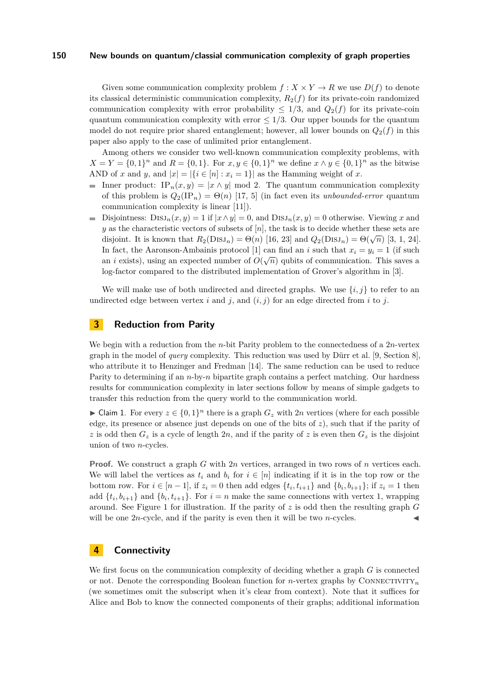Given some communication complexity problem  $f: X \times Y \to R$  we use  $D(f)$  to denote its classical deterministic communication complexity,  $R_2(f)$  for its private-coin randomized communication complexity with error probability  $\leq 1/3$ , and  $Q_2(f)$  for its private-coin quantum communication complexity with error  $\leq 1/3$ . Our upper bounds for the quantum model do not require prior shared entanglement; however, all lower bounds on  $Q_2(f)$  in this paper also apply to the case of unlimited prior entanglement.

Among others we consider two well-known communication complexity problems, with  $X = Y = \{0, 1\}^n$  and  $R = \{0, 1\}$ . For  $x, y \in \{0, 1\}^n$  we define  $x \wedge y \in \{0, 1\}^n$  as the bitwise AND of *x* and *y*, and  $|x| = |\{i \in [n] : x_i = 1\}|$  as the Hamming weight of *x*.

- Inner product: IP<sub>n</sub>(*x, y*) = |*x* ∧ *y*| mod 2. The quantum communication complexity of this problem is  $Q_2(\text{IP}_n) = \Theta(n)$  [\[17,](#page-11-11) [5\]](#page-10-3) (in fact even its *unbounded-error* quantum communication complexity is linear [\[11\]](#page-11-12)).
- Disjointness:  $DisJ_n(x, y) = 1$  if  $|x \wedge y| = 0$ , and  $DisJ_n(x, y) = 0$  otherwise. Viewing *x* and m.  $y$  as the characteristic vectors of subsets of  $[n]$ , the task is to decide whether these sets are disjoint. It is known that  $R_2(DISJ_n) = \Theta(n)$  [\[16,](#page-11-6) [23\]](#page-11-13) and  $Q_2(DISJ_n) = \Theta(\sqrt{n})$  [\[3,](#page-10-4) [1,](#page-10-5) [24\]](#page-11-14). In fact, the Aaronson-Ambainis protocol [\[1\]](#page-10-5) can find an *i* such that  $x_i = y_i = 1$  (if such an *i* exists), using an expected number of  $O(\sqrt{n})$  qubits of communication. This saves a log-factor compared to the distributed implementation of Grover's algorithm in [\[3\]](#page-10-4).

We will make use of both undirected and directed graphs. We use  $\{i, j\}$  to refer to an undirected edge between vertex *i* and *j*, and  $(i, j)$  for an edge directed from *i* to *j*.

# **3 Reduction from Parity**

We begin with a reduction from the *n*-bit Parity problem to the connectedness of a 2*n*-vertex graph in the model of *query* complexity. This reduction was used by Dürr et al. [\[9,](#page-11-15) Section 8], who attribute it to Henzinger and Fredman [\[14\]](#page-11-16). The same reduction can be used to reduce Parity to determining if an *n*-by-*n* bipartite graph contains a perfect matching. Our hardness results for communication complexity in later sections follow by means of simple gadgets to transfer this reduction from the query world to the communication world.

<span id="page-2-0"></span>► Claim 1. For every  $z \in \{0,1\}^n$  there is a graph  $G_z$  with 2*n* vertices (where for each possible edge, its presence or absence just depends on one of the bits of *z*), such that if the parity of *z* is odd then  $G_z$  is a cycle of length 2*n*, and if the parity of *z* is even then  $G_z$  is the disjoint union of two *n*-cycles.

**Proof.** We construct a graph *G* with 2*n* vertices, arranged in two rows of *n* vertices each. We will label the vertices as  $t_i$  and  $b_i$  for  $i \in [n]$  indicating if it is in the top row or the bottom row. For  $i \in [n-1]$ , if  $z_i = 0$  then add edges  $\{t_i, t_{i+1}\}$  and  $\{b_i, b_{i+1}\}$ ; if  $z_i = 1$  then add  $\{t_i, b_{i+1}\}\$  and  $\{b_i, t_{i+1}\}\$ . For  $i = n$  make the same connections with vertex 1, wrapping around. See Figure [1](#page-3-0) for illustration. If the parity of  $z$  is odd then the resulting graph  $G$ will be one  $2n$ -cycle, and if the parity is even then it will be two  $n$ -cycles.

## <span id="page-2-1"></span>**4 Connectivity**

We first focus on the communication complexity of deciding whether a graph *G* is connected or not. Denote the corresponding Boolean function for *n*-vertex graphs by CONNECTIVITY<sub>n</sub> (we sometimes omit the subscript when it's clear from context). Note that it suffices for Alice and Bob to know the connected components of their graphs; additional information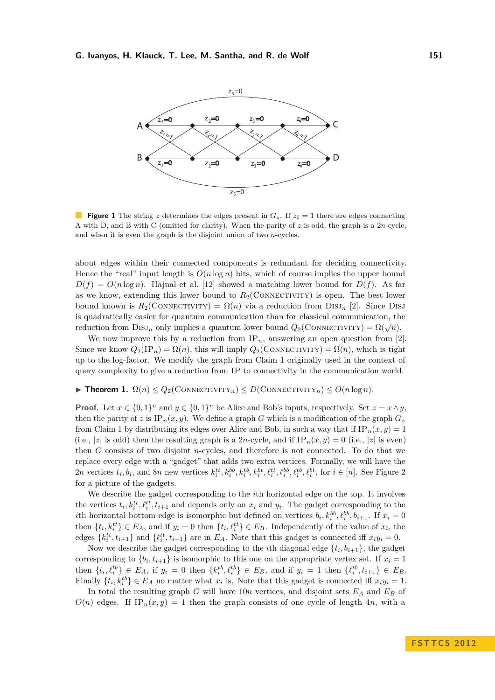<span id="page-3-0"></span>

**Figure 1** The string *z* determines the edges present in  $G_z$ . If  $z_5 = 1$  there are edges connecting A with D, and B with C (omitted for clarity). When the parity of  $z$  is odd, the graph is a 2*n*-cycle, and when it is even the graph is the disjoint union of two *n*-cycles.

about edges within their connected components is redundant for deciding connectivity. Hence the "real" input length is  $O(n \log n)$  bits, which of course implies the upper bound  $D(f) = O(n \log n)$ . Hajnal et al. [\[12\]](#page-11-4) showed a matching lower bound for  $D(f)$ . As far as we know, extending this lower bound to  $R_2$ (CONNECTIVITY) is open. The best lower bound known is  $R_2$ (CONNECTIVITY) =  $\Omega(n)$  via a reduction from DISJ<sub>n</sub> [\[2\]](#page-10-0). Since DISJ is quadratically easier for quantum communication than for classical communication, the reduction from  $DISJ_n$  only implies a quantum lower bound  $Q_2$ (CONNECTIVITY) =  $\Omega(\sqrt{n})$ .

We now improve this by a reduction from  $IP_n$ , answering an open question from [\[2\]](#page-10-0). Since we know  $Q_2(\text{IP}_n) = \Omega(n)$ , this will imply  $Q_2(\text{ConvECTIVITY}) = \Omega(n)$ , which is tight up to the log-factor. We modify the graph from Claim [1](#page-2-0) originally used in the context of query complexity to give a reduction from IP to connectivity in the communication world.

**Fineorem 1.**  $\Omega(n) \leq Q_2(\text{CONNETIVITY}_n) \leq D(\text{CONNETIVITY}_n) \leq O(n \log n)$ .

**Proof.** Let  $x \in \{0,1\}^n$  and  $y \in \{0,1\}^n$  be Alice and Bob's inputs, respectively. Set  $z = x \wedge y$ , then the parity of *z* is  $IP_n(x, y)$ . We define a graph *G* which is a modification of the graph  $G_z$ from Claim [1](#page-2-0) by distributing its edges over Alice and Bob, in such a way that if  $IP_n(x, y) = 1$ (i.e., |*z*| is odd) then the resulting graph is a 2*n*-cycle, and if  $IP_n(x, y) = 0$  (i.e., |*z*| is even) then *G* consists of two disjoint *n*-cycles, and therefore is not connected. To do that we replace every edge with a "gadget" that adds two extra vertices. Formally, we will have the 2n vertices  $t_i, b_i$ , and 8n new vertices  $k_i^{tt}, k_i^{bb}, k_i^{tb}, k_i^{tt}, \ell_i^{tt}, \ell_i^{bb}, \ell_i^{tb}, \ell_i^{bt}, \ell_i^{bt}$ , for  $i \in [n]$ . See Figure [2](#page-4-0) for a picture of the gadgets.

We describe the gadget corresponding to the *i*th horizontal edge on the top. It involves the vertices  $t_i, k_i^{tt}, \ell_i^{tt}, t_{i+1}$  and depends only on  $x_i$  and  $y_i$ . The gadget corresponding to the *i*th horizontal bottom edge is isomorphic but defined on vertices  $b_i$ ,  $k_i^{bb}$ ,  $\ell_i^{bb}$ ,  $b_{i+1}$ . If  $x_i = 0$ then  $\{t_i, k_i^{tt}\}\in E_A$ , and if  $y_i = 0$  then  $\{t_i, \ell_i^{tt}\}\in E_B$ . Independently of the value of  $x_i$ , the edges  $\{k_i^{tt}, t_{i+1}\}\$  and  $\{\ell_i^{tt}, t_{i+1}\}\$  are in  $E_A$ . Note that this gadget is connected iff  $x_i y_i = 0$ .

Now we describe the gadget corresponding to the *i*<sup>th</sup> diagonal edge  $\{t_i, b_{i+1}\}$ , the gadget corresponding to  $\{b_i, t_{i+1}\}\$ is isomorphic to this one on the appropriate vertex set. If  $x_i = 1$ then  $\{t_i, \ell_i^{tb}\}\in E_A$ , if  $y_i = 0$  then  $\{k_i^{tb}, \ell_i^{tb}\}\in E_B$ , and if  $y_i = 1$  then  $\{\ell_i^{tb}, t_{i+1}\}\in E_B$ . Finally  $\{t_i, k_i^{tb}\} \in E_A$  no matter what  $x_i$  is. Note that this gadget is connected iff  $x_i y_i = 1$ .

In total the resulting graph *G* will have 10*n* vertices, and disjoint sets *E<sup>A</sup>* and *E<sup>B</sup>* of  $O(n)$  edges. If IP<sub>n</sub>(*x, y*) = 1 then the graph consists of one cycle of length 4*n*, with a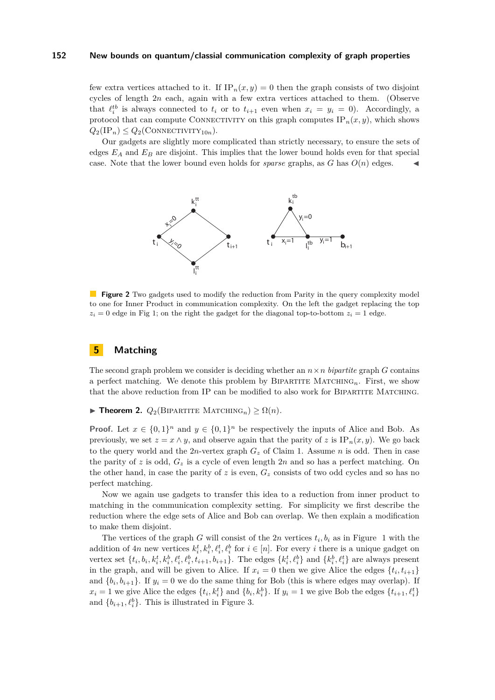few extra vertices attached to it. If  $IP_n(x, y) = 0$  then the graph consists of two disjoint cycles of length 2*n* each, again with a few extra vertices attached to them. (Observe that  $\ell_i^{\text{th}}$  is always connected to  $t_i$  or to  $t_{i+1}$  even when  $x_i = y_i = 0$ ). Accordingly, a protocol that can compute CONNECTIVITY on this graph computes  $IP_n(x, y)$ , which shows  $Q_2(\text{IP}_n) \leq Q_2(\text{CONNETIVITY}_{10n}).$ 

<span id="page-4-0"></span>Our gadgets are slightly more complicated than strictly necessary, to ensure the sets of edges  $E_A$  and  $E_B$  are disjoint. This implies that the lower bound holds even for that special case. Note that the lower bound even holds for *sparse* graphs, as  $G$  has  $O(n)$  edges.



**Figure 2** Two gadgets used to modify the reduction from Parity in the query complexity model to one for Inner Product in communication complexity. On the left the gadget replacing the top  $z_i = 0$  edge in Fig [1;](#page-3-0) on the right the gadget for the diagonal top-to-bottom  $z_i = 1$  edge.

# **5 Matching**

The second graph problem we consider is deciding whether an  $n \times n$  *bipartite* graph *G* contains a perfect matching. We denote this problem by  $BIPARTITE$  MATCHING<sub>n</sub>. First, we show that the above reduction from IP can be modified to also work for BIPARTITE MATCHING.

**Find Theorem 2.**  $Q_2$ (BIPARTITE MATCHING<sub>n</sub>)  $\geq \Omega(n)$ .

**Proof.** Let  $x \in \{0,1\}^n$  and  $y \in \{0,1\}^n$  be respectively the inputs of Alice and Bob. As previously, we set  $z = x \wedge y$ , and observe again that the parity of *z* is IP<sub>n</sub> $(x, y)$ . We go back to the query world and the  $2n$ -vertex graph  $G_z$  of Claim [1.](#page-2-0) Assume *n* is odd. Then in case the parity of *z* is odd,  $G_z$  is a cycle of even length 2*n* and so has a perfect matching. On the other hand, in case the parity of  $z$  is even,  $G_z$  consists of two odd cycles and so has no perfect matching.

Now we again use gadgets to transfer this idea to a reduction from inner product to matching in the communication complexity setting. For simplicity we first describe the reduction where the edge sets of Alice and Bob can overlap. We then explain a modification to make them disjoint.

The vertices of the graph *G* will consist of the 2*n* vertices  $t_i, b_i$  as in Figure [1](#page-3-0) with the addition of  $4n$  new vertices  $k_i^t, k_i^b, \ell_i^t, \ell_i^b$  for  $i \in [n]$ . For every *i* there is a unique gadget on vertex set  $\{t_i, b_i, k_i^t, k_i^b, \ell_i^t, \ell_i^b, t_{i+1}, b_{i+1}\}$ . The edges  $\{k_i^t, \ell_i^b\}$  and  $\{k_i^b, \ell_i^t\}$  are always present in the graph, and will be given to Alice. If  $x_i = 0$  then we give Alice the edges  $\{t_i, t_{i+1}\}$ and  $\{b_i, b_{i+1}\}$ . If  $y_i = 0$  we do the same thing for Bob (this is where edges may overlap). If  $x_i = 1$  we give Alice the edges  $\{t_i, k_i^t\}$  and  $\{b_i, k_i^b\}$ . If  $y_i = 1$  we give Bob the edges  $\{t_{i+1}, \ell_i^t\}$ and  $\{b_{i+1}, \ell_i^b\}$ . This is illustrated in Figure [3.](#page-5-0)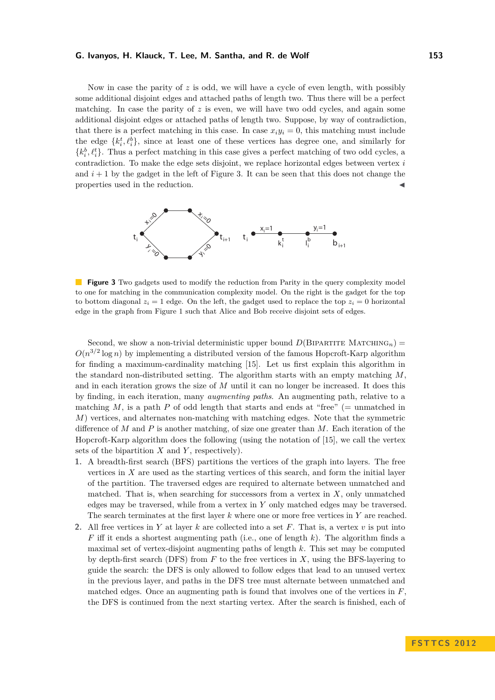Now in case the parity of *z* is odd, we will have a cycle of even length, with possibly some additional disjoint edges and attached paths of length two. Thus there will be a perfect matching. In case the parity of  $z$  is even, we will have two odd cycles, and again some additional disjoint edges or attached paths of length two. Suppose, by way of contradiction, that there is a perfect matching in this case. In case  $x_i y_i = 0$ , this matching must include the edge  $\{k_i^t, \ell_i^b\}$ , since at least one of these vertices has degree one, and similarly for  $\{k_i^b, \ell_i^t\}$ . Thus a perfect matching in this case gives a perfect matching of two odd cycles, a contradiction. To make the edge sets disjoint, we replace horizontal edges between vertex *i* and  $i+1$  by the gadget in the left of Figure [3.](#page-5-0) It can be seen that this does not change the properties used in the reduction.

<span id="page-5-0"></span>

**Figure 3** Two gadgets used to modify the reduction from Parity in the query complexity model to one for matching in the communication complexity model. On the right is the gadget for the top to bottom diagonal  $z_i = 1$  edge. On the left, the gadget used to replace the top  $z_i = 0$  horizontal edge in the graph from Figure [1](#page-3-0) such that Alice and Bob receive disjoint sets of edges.

Second, we show a non-trivial deterministic upper bound  $D(\text{BIPARTITE} \text{ MATCHING}_n)$  =  $O(n^{3/2} \log n)$  by implementing a distributed version of the famous Hopcroft-Karp algorithm for finding a maximum-cardinality matching [\[15\]](#page-11-17). Let us first explain this algorithm in the standard non-distributed setting. The algorithm starts with an empty matching *M*, and in each iteration grows the size of *M* until it can no longer be increased. It does this by finding, in each iteration, many *augmenting paths*. An augmenting path, relative to a matching  $M$ , is a path  $P$  of odd length that starts and ends at "free" (= unmatched in *M*) vertices, and alternates non-matching with matching edges. Note that the symmetric difference of *M* and *P* is another matching, of size one greater than *M*. Each iteration of the Hopcroft-Karp algorithm does the following (using the notation of [\[15\]](#page-11-17), we call the vertex sets of the bipartition *X* and *Y* , respectively).

- **1.** A breadth-first search (BFS) partitions the vertices of the graph into layers. The free vertices in *X* are used as the starting vertices of this search, and form the initial layer of the partition. The traversed edges are required to alternate between unmatched and matched. That is, when searching for successors from a vertex in *X*, only unmatched edges may be traversed, while from a vertex in *Y* only matched edges may be traversed. The search terminates at the first layer *k* where one or more free vertices in *Y* are reached.
- **2.** All free vertices in *Y* at layer *k* are collected into a set *F*. That is, a vertex *v* is put into *F* iff it ends a shortest augmenting path (i.e., one of length *k*). The algorithm finds a maximal set of vertex-disjoint augmenting paths of length *k*. This set may be computed by depth-first search (DFS) from *F* to the free vertices in *X*, using the BFS-layering to guide the search: the DFS is only allowed to follow edges that lead to an unused vertex in the previous layer, and paths in the DFS tree must alternate between unmatched and matched edges. Once an augmenting path is found that involves one of the vertices in *F*, the DFS is continued from the next starting vertex. After the search is finished, each of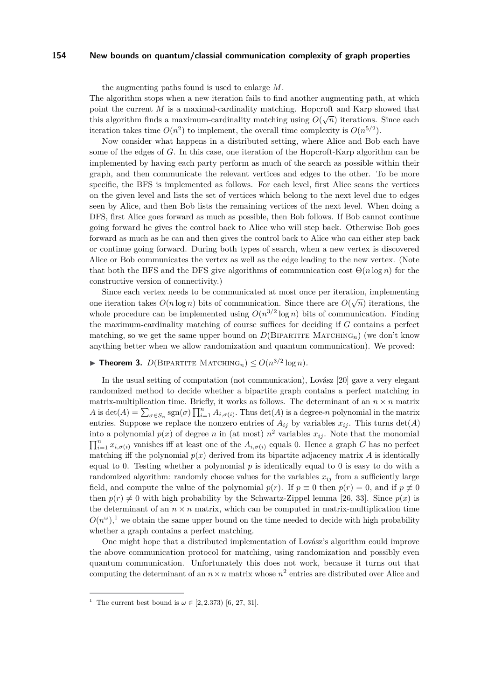the augmenting paths found is used to enlarge *M*.

The algorithm stops when a new iteration fails to find another augmenting path, at which point the current *M* is a maximal-cardinality matching. Hopcroft and Karp showed that this algorithm finds a maximum-cardinality matching using  $O(\sqrt{n})$  iterations. Since each iteration takes time  $O(n^2)$  to implement, the overall time complexity is  $O(n^{5/2})$ .

Now consider what happens in a distributed setting, where Alice and Bob each have some of the edges of *G*. In this case, one iteration of the Hopcroft-Karp algorithm can be implemented by having each party perform as much of the search as possible within their graph, and then communicate the relevant vertices and edges to the other. To be more specific, the BFS is implemented as follows. For each level, first Alice scans the vertices on the given level and lists the set of vertices which belong to the next level due to edges seen by Alice, and then Bob lists the remaining vertices of the next level. When doing a DFS, first Alice goes forward as much as possible, then Bob follows. If Bob cannot continue going forward he gives the control back to Alice who will step back. Otherwise Bob goes forward as much as he can and then gives the control back to Alice who can either step back or continue going forward. During both types of search, when a new vertex is discovered Alice or Bob communicates the vertex as well as the edge leading to the new vertex. (Note that both the BFS and the DFS give algorithms of communication cost Θ(*n* log *n*) for the constructive version of connectivity.)

Since each vertex needs to be communicated at most once per iteration, implementing one iteration takes  $O(n \log n)$  bits of communication. Since there are  $O(\sqrt{n})$  iterations, the whole procedure can be implemented using  $O(n^{3/2} \log n)$  bits of communication. Finding the maximum-cardinality matching of course suffices for deciding if *G* contains a perfect matching, so we get the same upper bound on  $D(\text{BIPARTITE} \text{ MACTCHING}_n)$  (we don't know anything better when we allow randomization and quantum communication). We proved:

# **Fineorem 3.**  $D(\text{BIPARTITE MATCHING}_n) \leq O(n^{3/2} \log n)$ .

In the usual setting of computation (not communication), Lovász [\[20\]](#page-11-18) gave a very elegant randomized method to decide whether a bipartite graph contains a perfect matching in matrix-multiplication time. Briefly, it works as follows. The determinant of an  $n \times n$  matrix *A* is det(*A*) =  $\sum_{\sigma \in S_n}$  sgn( $\sigma$ )  $\prod_{i=1}^n A_{i,\sigma(i)}$ . Thus det(*A*) is a degree-*n* polynomial in the matrix entries. Suppose we replace the nonzero entries of  $A_{ij}$  by variables  $x_{ij}$ . This turns  $\det(A)$ into a polynomial  $p(x)$  of degree *n* in (at most)  $n^2$  variables  $x_{ij}$ . Note that the monomial  $\prod_{i=1}^{n} x_{i,\sigma(i)}$  vanishes iff at least one of the  $A_{i,\sigma(i)}$  equals 0. Hence a graph *G* has no perfect matching iff the polynomial  $p(x)$  derived from its bipartite adjacency matrix  $A$  is identically equal to 0. Testing whether a polynomial  $p$  is identically equal to 0 is easy to do with a randomized algorithm: randomly choose values for the variables  $x_{ij}$  from a sufficiently large field, and compute the value of the polynomial  $p(r)$ . If  $p \equiv 0$  then  $p(r) = 0$ , and if  $p \not\equiv 0$ then  $p(r) \neq 0$  with high probability by the Schwartz-Zippel lemma [\[26,](#page-11-19) [33\]](#page-11-20). Since  $p(x)$  is the determinant of an  $n \times n$  matrix, which can be computed in matrix-multiplication time  $O(n^{\omega})$ ,<sup>[1](#page-6-0)</sup> we obtain the same upper bound on the time needed to decide with high probability whether a graph contains a perfect matching.

One might hope that a distributed implementation of Lovász's algorithm could improve the above communication protocol for matching, using randomization and possibly even quantum communication. Unfortunately this does not work, because it turns out that computing the determinant of an  $n \times n$  matrix whose  $n^2$  entries are distributed over Alice and

<span id="page-6-0"></span><sup>&</sup>lt;sup>1</sup> The current best bound is  $\omega \in [2, 2.373)$  [\[6,](#page-10-6) [27,](#page-11-21) [31\]](#page-11-22).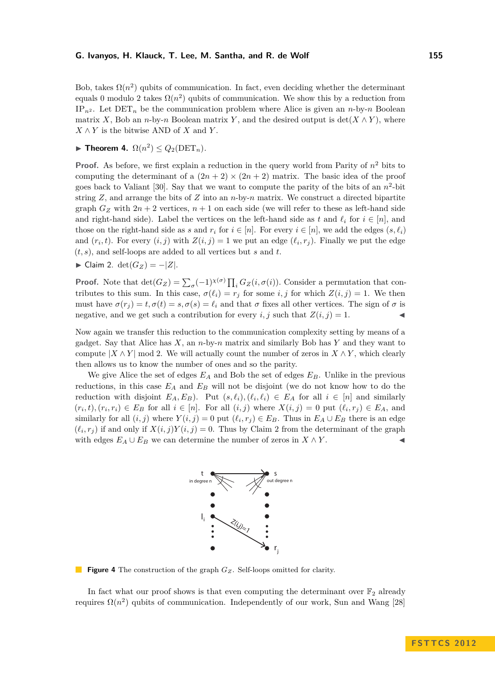Bob, takes  $\Omega(n^2)$  qubits of communication. In fact, even deciding whether the determinant equals 0 modulo 2 takes  $\Omega(n^2)$  qubits of communication. We show this by a reduction from  $IP_{n^2}$ . Let  $DET_n$  be the communication problem where Alice is given an *n*-by-*n* Boolean matrix *X*, Bob an *n*-by-*n* Boolean matrix *Y*, and the desired output is det( $X \wedge Y$ ), where  $X \wedge Y$  is the bitwise AND of  $X$  and  $Y$ .

 $\blacktriangleright$  **Theorem 4.**  $\Omega(n^2) \leq Q_2(\text{DET}_n)$ .

**Proof.** As before, we first explain a reduction in the query world from Parity of  $n^2$  bits to computing the determinant of a  $(2n + 2) \times (2n + 2)$  matrix. The basic idea of the proof goes back to Valiant  $[30]$ . Say that we want to compute the parity of the bits of an  $n^2$ -bit string *Z*, and arrange the bits of *Z* into an *n*-by-*n* matrix. We construct a directed bipartite graph  $G_Z$  with  $2n + 2$  vertices,  $n + 1$  on each side (we will refer to these as left-hand side and right-hand side). Label the vertices on the left-hand side as *t* and  $\ell_i$  for  $i \in [n]$ , and those on the right-hand side as *s* and  $r_i$  for  $i \in [n]$ . For every  $i \in [n]$ , we add the edges  $(s, \ell_i)$ and  $(r_i, t)$ . For every  $(i, j)$  with  $Z(i, j) = 1$  we put an edge  $(\ell_i, r_j)$ . Finally we put the edge (*t, s*), and self-loops are added to all vertices but *s* and *t*.

<span id="page-7-0"></span> $\blacktriangleright$  Claim 2. det( $G_Z$ ) = −|*Z*|.

**Proof.** Note that  $\det(G_Z) = \sum_{\sigma} (-1)^{\chi(\sigma)} \prod_i G_Z(i, \sigma(i))$ . Consider a permutation that contributes to this sum. In this case,  $\sigma(\ell_i) = r_j$  for some *i, j* for which  $Z(i, j) = 1$ . We then must have  $\sigma(r_i) = t$ ,  $\sigma(t) = s$ ,  $\sigma(s) = \ell_i$  and that  $\sigma$  fixes all other vertices. The sign of  $\sigma$  is negative, and we get such a contribution for every  $i, j$  such that  $Z(i, j) = 1$ .

Now again we transfer this reduction to the communication complexity setting by means of a gadget. Say that Alice has *X*, an *n*-by-*n* matrix and similarly Bob has *Y* and they want to compute  $|X \wedge Y|$  mod 2. We will actually count the number of zeros in  $X \wedge Y$ , which clearly then allows us to know the number of ones and so the parity.

We give Alice the set of edges *E<sup>A</sup>* and Bob the set of edges *EB*. Unlike in the previous reductions, in this case *E<sup>A</sup>* and *E<sup>B</sup>* will not be disjoint (we do not know how to do the reduction with disjoint  $E_A, E_B$ ). Put  $(s, \ell_i), (\ell_i, \ell_i) \in E_A$  for all  $i \in [n]$  and similarly  $(r_i,t), (r_i,r_i) \in E_B$  for all  $i \in [n]$ . For all  $(i,j)$  where  $X(i,j) = 0$  put  $(\ell_i,r_j) \in E_A$ , and similarly for all  $(i, j)$  where  $Y(i, j) = 0$  put  $(\ell_i, r_j) \in E_B$ . Thus in  $E_A \cup E_B$  there is an edge  $(\ell_i, r_j)$  if and only if  $X(i, j)Y(i, j) = 0$ . Thus by Claim [2](#page-7-0) from the determinant of the graph with edges  $E_A \cup E_B$  we can determine the number of zeros in  $X \wedge Y$ .



**Figure 4** The construction of the graph  $G_Z$ . Self-loops omitted for clarity.

In fact what our proof shows is that even computing the determinant over  $\mathbb{F}_2$  already requires  $\Omega(n^2)$  qubits of communication. Independently of our work, Sun and Wang [\[28\]](#page-11-24)

**F S T T C S 2 0 1 2**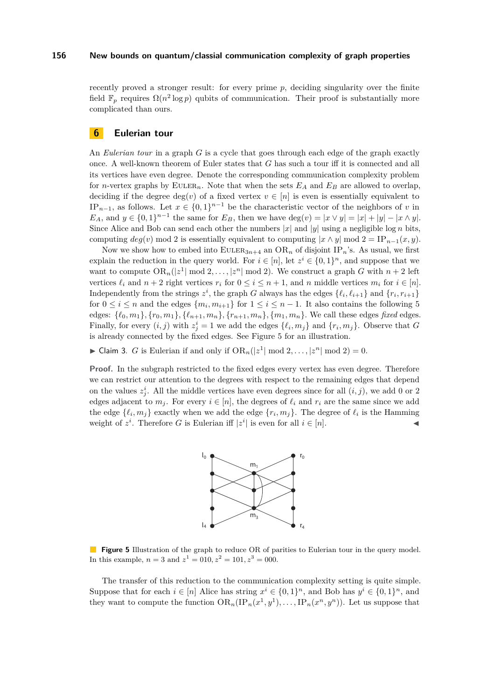recently proved a stronger result: for every prime *p*, deciding singularity over the finite field  $\mathbb{F}_p$  requires  $\Omega(n^2 \log p)$  qubits of communication. Their proof is substantially more complicated than ours.

### **6 Eulerian tour**

An *Eulerian tour* in a graph *G* is a cycle that goes through each edge of the graph exactly once. A well-known theorem of Euler states that *G* has such a tour iff it is connected and all its vertices have even degree. Denote the corresponding communication complexity problem for *n*-vertex graphs by EULER<sub>n</sub>. Note that when the sets  $E_A$  and  $E_B$  are allowed to overlap, deciding if the degree  $deg(v)$  of a fixed vertex  $v \in [n]$  is even is essentially equivalent to IP<sub>*n*−1</sub>, as follows. Let  $x \in \{0,1\}^{n-1}$  be the characteristic vector of the neighbors of *v* in *E<sub>A</sub>*, and  $y \in \{0, 1\}^{n-1}$  the same for *E<sub>B</sub>*, then we have deg(*v*) =  $|x \vee y| = |x| + |y| - |x \wedge y|$ . Since Alice and Bob can send each other the numbers  $|x|$  and  $|y|$  using a negligible log *n* bits, computing  $deg(v)$  mod 2 is essentially equivalent to computing  $|x \wedge y|$  mod  $2 = IP_{n-1}(x, y)$ .

Now we show how to embed into  $\text{EULER}_{3n+4}$  an  $\text{OR}_n$  of disjoint IP<sub>n</sub>'s. As usual, we first explain the reduction in the query world. For  $i \in [n]$ , let  $z^i \in \{0,1\}^n$ , and suppose that we want to compute  $OR_n(|z^1| \mod 2, \ldots, |z^n| \mod 2)$ . We construct a graph *G* with  $n+2$  left vertices  $\ell_i$  and  $n + 2$  right vertices  $r_i$  for  $0 \leq i \leq n + 1$ , and  $n$  middle vertices  $m_i$  for  $i \in [n]$ . Independently from the strings  $z^i$ , the graph *G* always has the edges  $\{\ell_i, \ell_{i+1}\}$  and  $\{r_i, r_{i+1}\}$ for  $0 \leq i \leq n$  and the edges  $\{m_i, m_{i+1}\}\$ for  $1 \leq i \leq n-1$ . It also contains the following 5 edges:  $\{\ell_0, m_1\}, \{r_0, m_1\}, \{\ell_{n+1}, m_n\}, \{r_{n+1}, m_n\}, \{m_1, m_n\}.$  We call these edges fixed edges. Finally, for every  $(i, j)$  with  $z_j^i = 1$  we add the edges  $\{\ell_i, m_j\}$  and  $\{r_i, m_j\}$ . Observe that *G* is already connected by the fixed edges. See Figure [5](#page-8-0) for an illustration.

<span id="page-8-1"></span>▶ Claim 3. *G* is Eulerian if and only if  $OR_n(|z^1| \mod 2, ..., |z^n| \mod 2) = 0$ .

<span id="page-8-0"></span>**Proof.** In the subgraph restricted to the fixed edges every vertex has even degree. Therefore we can restrict our attention to the degrees with respect to the remaining edges that depend on the values  $z_j^i$ . All the middle vertices have even degrees since for all  $(i, j)$ , we add 0 or 2 edges adjacent to  $m_j$ . For every  $i \in [n]$ , the degrees of  $\ell_i$  and  $r_i$  are the same since we add the edge  $\{\ell_i, m_j\}$  exactly when we add the edge  $\{r_i, m_j\}$ . The degree of  $\ell_i$  is the Hamming weight of  $z^i$ . Therefore *G* is Eulerian iff  $|z^i|$  is even for all  $i \in [n]$ .



**Figure 5** Illustration of the graph to reduce OR of parities to Eulerian tour in the query model. In this example,  $n = 3$  and  $z^1 = 010, z^2 = 101, z^3 = 000$ .

The transfer of this reduction to the communication complexity setting is quite simple. Suppose that for each  $i \in [n]$  Alice has string  $x^i \in \{0,1\}^n$ , and Bob has  $y^i \in \{0,1\}^n$ , and they want to compute the function  $OR_n(IP_n(x^1, y^1), \ldots, IP_n(x^n, y^n))$ . Let us suppose that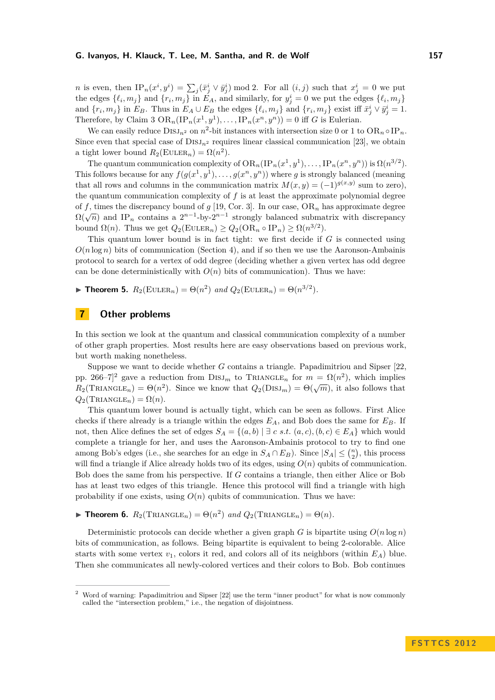*n* is even, then  $IP_n(x^i, y^i) = \sum_j (\bar{x}^i_j \vee \bar{y}^i_j) \mod 2$ . For all  $(i, j)$  such that  $x^i_j = 0$  we put the edges  $\{\ell_i, m_j\}$  and  $\{r_i, m_j\}$  in  $E_A$ , and similarly, for  $y_j^i = 0$  we put the edges  $\{\ell_i, m_j\}$ and  $\{r_i, m_j\}$  in  $E_B$ . Thus in  $E_A \cup E_B$  the edges  $\{\ell_i, m_j\}$  and  $\{r_i, m_j\}$  exist iff  $\bar{x}_j^i \vee \bar{y}_j^i = 1$ . Therefore, by Claim [3](#page-8-1)  $OR_n(IP_n(x^1, y^1), \ldots, IP_n(x^n, y^n)) = 0$  iff *G* is Eulerian.

We can easily reduce  $\text{DisJ}_{n^2}$  on  $n^2$ -bit instances with intersection size 0 or 1 to  $\text{OR}_n \circ \text{IP}_n$ . Since even that special case of  $\text{DISJ}_{n^2}$  requires linear classical communication [\[23\]](#page-11-13), we obtain a tight lower bound  $R_2(\text{EULER}_n) = \Omega(n^2)$ .

The quantum communication complexity of  $OR_n(\text{IP}_n(x^1, y^1), \ldots, \text{IP}_n(x^n, y^n))$  is  $\Omega(n^{3/2})$ . This follows because for any  $f(g(x^1, y^1), \ldots, g(x^n, y^n))$  where *g* is strongly balanced (meaning that all rows and columns in the communication matrix  $M(x, y) = (-1)^{g(x,y)}$  sum to zero), the quantum communication complexity of *f* is at least the approximate polynomial degree of f, times the discrepancy bound of  $g$  [\[19,](#page-11-25) Cor. 3]. In our case,  $OR_n$  has approximate degree  $\Omega(\sqrt{n})$  and IP<sub>n</sub> contains a  $2^{n-1}$ -by- $2^{n-1}$  strongly balanced submatrix with discrepancy bound  $\Omega(n)$ . Thus we get  $Q_2(\text{EULER}_n) \geq Q_2(\text{OR}_n \circ \text{IP}_n) \geq \Omega(n^{3/2})$ .

This quantum lower bound is in fact tight: we first decide if *G* is connected using  $O(n \log n)$  bits of communication (Section [4\)](#page-2-1), and if so then we use the Aaronson-Ambainis protocol to search for a vertex of odd degree (deciding whether a given vertex has odd degree can be done deterministically with  $O(n)$  bits of communication). Thus we have:

► **Theorem 5.**  $R_2(\text{EULER}_n) = \Theta(n^2)$  and  $Q_2(\text{EULER}_n) = \Theta(n^{3/2})$ .

### **7 Other problems**

In this section we look at the quantum and classical communication complexity of a number of other graph properties. Most results here are easy observations based on previous work, but worth making nonetheless.

Suppose we want to decide whether *G* contains a triangle. Papadimitriou and Sipser [\[22,](#page-11-3) pp. [2](#page-9-0)66–7<sup> $]$ 2</sup> gave a reduction from  $\text{DISJ}_m$  to  $\text{TRIANGLE}_n$  for  $m = \Omega(n^2)$ , which implies  $R_2(\text{TRIANGLE}_n) = \Theta(n^2)$ . Since we know that  $Q_2(\text{DISJ}_m) = \Theta(\sqrt{m})$ , it also follows that  $Q_2(\text{TRIANGLE}_n) = \Omega(n).$ 

This quantum lower bound is actually tight, which can be seen as follows. First Alice checks if there already is a triangle within the edges *EA*, and Bob does the same for *EB*. If not, then Alice defines the set of edges  $S_A = \{(a, b) | \exists c \ s.t. \ (a, c), (b, c) \in E_A \}$  which would complete a triangle for her, and uses the Aaronson-Ambainis protocol to try to find one among Bob's edges (i.e., she searches for an edge in  $S_A \cap E_B$ ). Since  $|S_A| \leq {n \choose 2}$ , this process will find a triangle if Alice already holds two of its edges, using *O*(*n*) qubits of communication. Bob does the same from his perspective. If *G* contains a triangle, then either Alice or Bob has at least two edges of this triangle. Hence this protocol will find a triangle with high probability if one exists, using  $O(n)$  qubits of communication. Thus we have:

 $\blacktriangleright$  **Theorem 6.**  $R_2(\text{TRIANGLE}_n) = \Theta(n^2)$  and  $Q_2(\text{TRIANGLE}_n) = \Theta(n)$ .

Deterministic protocols can decide whether a given graph *G* is bipartite using  $O(n \log n)$ bits of communication, as follows. Being bipartite is equivalent to being 2-colorable. Alice starts with some vertex  $v_1$ , colors it red, and colors all of its neighbors (within  $E_A$ ) blue. Then she communicates all newly-colored vertices and their colors to Bob. Bob continues

<span id="page-9-0"></span><sup>2</sup> Word of warning: Papadimitriou and Sipser [\[22\]](#page-11-3) use the term "inner product" for what is now commonly called the "intersection problem," i.e., the negation of disjointness.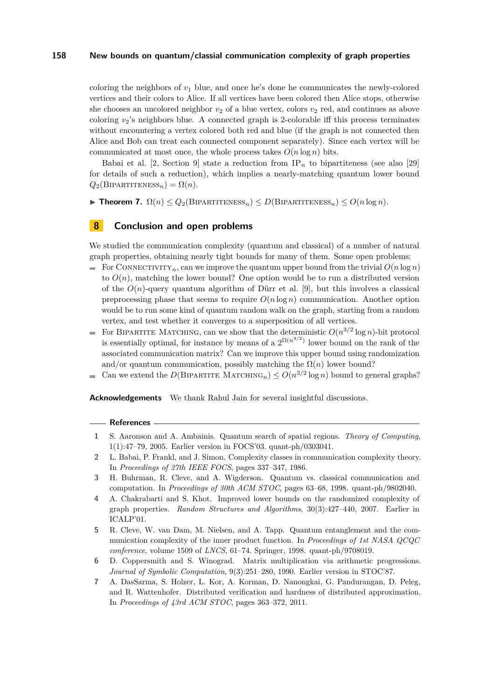coloring the neighbors of  $v_1$  blue, and once he's done he communicates the newly-colored vertices and their colors to Alice. If all vertices have been colored then Alice stops, otherwise she chooses an uncolored neighbor  $v_2$  of a blue vertex, colors  $v_2$  red, and continues as above coloring  $v_2$ 's neighbors blue. A connected graph is 2-colorable iff this process terminates without encountering a vertex colored both red and blue (if the graph is not connected then Alice and Bob can treat each connected component separately). Since each vertex will be communicated at most once, the whole process takes  $O(n \log n)$  bits.

Babai et al.  $[2, \text{Section 9}]$  $[2, \text{Section 9}]$  state a reduction from  $IP_n$  to bipartiteness (see also [\[29\]](#page-11-26) for details of such a reduction), which implies a nearly-matching quantum lower bound  $Q_2(B$ IPARTITENESS<sub>n</sub></sub> $) = \Omega(n)$ .

 $\triangleright$  **Theorem 7.**  $\Omega(n) \leq Q_2(\text{Bipartiveness}_n) \leq D(\text{Bipartiveness}_n) \leq O(n \log n)$ .

# **8 Conclusion and open problems**

We studied the communication complexity (quantum and classical) of a number of natural graph properties, obtaining nearly tight bounds for many of them. Some open problems:

- For CONNECTIVITY<sub>n</sub>, can we improve the quantum upper bound from the trivial  $O(n \log n)$ to  $O(n)$ , matching the lower bound? One option would be to run a distributed version of the  $O(n)$ -query quantum algorithm of Dürr et al. [\[9\]](#page-11-15), but this involves a classical preprocessing phase that seems to require  $O(n \log n)$  communication. Another option would be to run some kind of quantum random walk on the graph, starting from a random vertex, and test whether it converges to a superposition of all vertices.
- For BIPARTITE MATCHING, can we show that the deterministic  $O(n^{3/2} \log n)$ -bit protocol is essentially optimal, for instance by means of a  $2^{\Omega(n^{3/2})}$  lower bound on the rank of the associated communication matrix? Can we improve this upper bound using randomization and/or quantum communication, possibly matching the  $\Omega(n)$  lower bound?
- Can we extend the *D*(BIPARTITE MATCHING<sub>n</sub>)  $\leq O(n^{3/2} \log n)$  bound to general graphs?

**Acknowledgements** We thank Rahul Jain for several insightful discussions.

## **References**

- <span id="page-10-5"></span>**1** S. Aaronson and A. Ambainis. Quantum search of spatial regions. *Theory of Computing*, 1(1):47–79, 2005. Earlier version in FOCS'03. quant-ph/0303041.
- <span id="page-10-0"></span>**2** L. Babai, P. Frankl, and J. Simon. Complexity classes in communication complexity theory. In *Proceedings of 27th IEEE FOCS*, pages 337–347, 1986.
- <span id="page-10-4"></span>**3** H. Buhrman, R. Cleve, and A. Wigderson. Quantum vs. classical communication and computation. In *Proceedings of 30th ACM STOC*, pages 63–68, 1998. quant-ph/9802040.
- <span id="page-10-1"></span>**4** A. Chakrabarti and S. Khot. Improved lower bounds on the randomized complexity of graph properties. *Random Structures and Algorithms*, 30(3):427–440, 2007. Earlier in ICALP'01.
- <span id="page-10-3"></span>**5** R. Cleve, W. van Dam, M. Nielsen, and A. Tapp. Quantum entanglement and the communication complexity of the inner product function. In *Proceedings of 1st NASA QCQC conference*, volume 1509 of *LNCS*, 61–74. Springer, 1998. quant-ph/9708019.
- <span id="page-10-6"></span>**6** D. Coppersmith and S. Winograd. Matrix multiplication via arithmetic progressions. *Journal of Symbolic Computation*, 9(3):251–280, 1990. Earlier version in STOC'87.
- <span id="page-10-2"></span>**7** A. DasSarma, S. Holzer, L. Kor, A. Korman, D. Nanongkai, G. Pandurangan, D. Peleg, and R. Wattenhofer. Distributed verification and hardness of distributed approximation. In *Proceedings of 43rd ACM STOC*, pages 363–372, 2011.